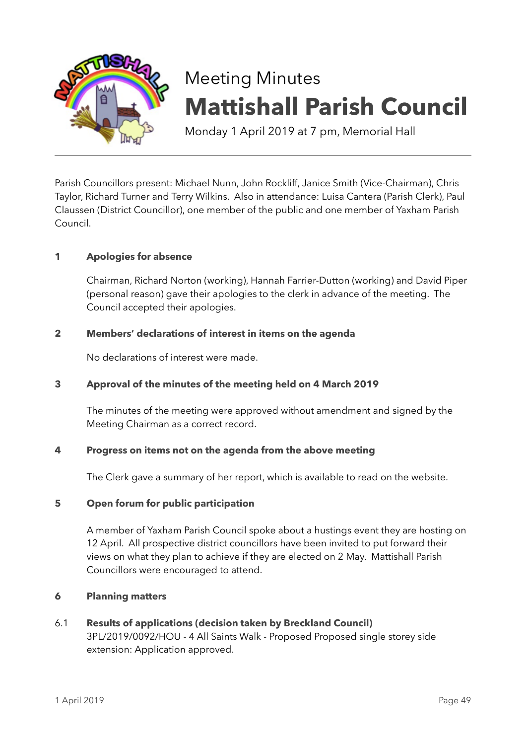

# Meeting Minutes **Mattishall Parish Council**

Monday 1 April 2019 at 7 pm, Memorial Hall

Parish Councillors present: Michael Nunn, John Rockliff, Janice Smith (Vice-Chairman), Chris Taylor, Richard Turner and Terry Wilkins. Also in attendance: Luisa Cantera (Parish Clerk), Paul Claussen (District Councillor), one member of the public and one member of Yaxham Parish Council.

# **1 Apologies for absence**

Chairman, Richard Norton (working), Hannah Farrier-Dutton (working) and David Piper (personal reason) gave their apologies to the clerk in advance of the meeting. The Council accepted their apologies.

## **2 Members' declarations of interest in items on the agenda**

No declarations of interest were made.

## **3 Approval of the minutes of the meeting held on 4 March 2019**

The minutes of the meeting were approved without amendment and signed by the Meeting Chairman as a correct record.

## **4 Progress on items not on the agenda from the above meeting**

The Clerk gave a summary of her report, which is available to read on the website.

## **5 Open forum for public participation**

A member of Yaxham Parish Council spoke about a hustings event they are hosting on 12 April. All prospective district councillors have been invited to put forward their views on what they plan to achieve if they are elected on 2 May. Mattishall Parish Councillors were encouraged to attend.

#### **6 Planning matters**

# 6.1 **Results of applications (decision taken by Breckland Council)** 3PL/2019/0092/HOU - 4 All Saints Walk - Proposed Proposed single storey side extension: Application approved.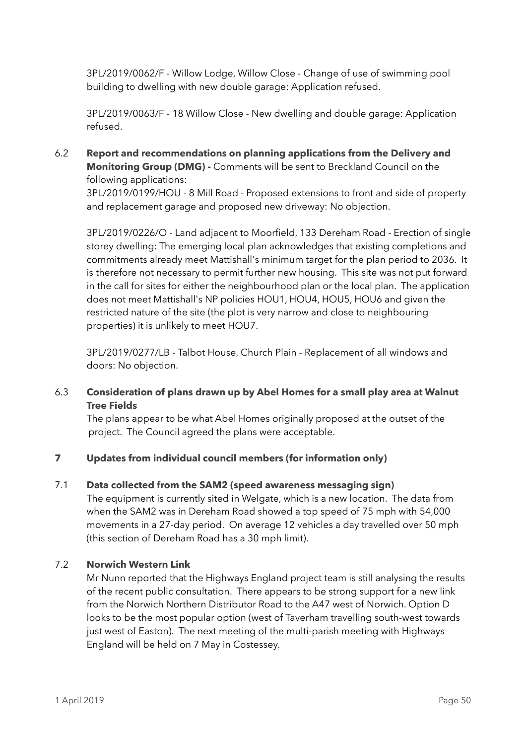3PL/2019/0062/F - Willow Lodge, Willow Close - Change of use of swimming pool building to dwelling with new double garage: Application refused.

3PL/2019/0063/F - 18 Willow Close - New dwelling and double garage: Application refused.

6.2 **Report and recommendations on planning applications from the Delivery and Monitoring Group (DMG) -** Comments will be sent to Breckland Council on the following applications:

3PL/2019/0199/HOU - 8 Mill Road - Proposed extensions to front and side of property and replacement garage and proposed new driveway: No objection.

3PL/2019/0226/O - Land adjacent to Moorfield, 133 Dereham Road - Erection of single storey dwelling: The emerging local plan acknowledges that existing completions and commitments already meet Mattishall's minimum target for the plan period to 2036. It is therefore not necessary to permit further new housing. This site was not put forward in the call for sites for either the neighbourhood plan or the local plan. The application does not meet Mattishall's NP policies HOU1, HOU4, HOU5, HOU6 and given the restricted nature of the site (the plot is very narrow and close to neighbouring properties) it is unlikely to meet HOU7.

3PL/2019/0277/LB - Talbot House, Church Plain - Replacement of all windows and doors: No objection.

# 6.3 **Consideration of plans drawn up by Abel Homes for a small play area at Walnut Tree Fields**

 The plans appear to be what Abel Homes originally proposed at the outset of the project. The Council agreed the plans were acceptable.

# **7 Updates from individual council members (for information only)**

## 7.1 **Data collected from the SAM2 (speed awareness messaging sign)**

The equipment is currently sited in Welgate, which is a new location. The data from when the SAM2 was in Dereham Road showed a top speed of 75 mph with 54,000 movements in a 27-day period. On average 12 vehicles a day travelled over 50 mph (this section of Dereham Road has a 30 mph limit).

## 7.2 **Norwich Western Link**

Mr Nunn reported that the Highways England project team is still analysing the results of the recent public consultation. There appears to be strong support for a new link from the Norwich Northern Distributor Road to the A47 west of Norwich. Option D looks to be the most popular option (west of Taverham travelling south-west towards just west of Easton). The next meeting of the multi-parish meeting with Highways England will be held on 7 May in Costessey.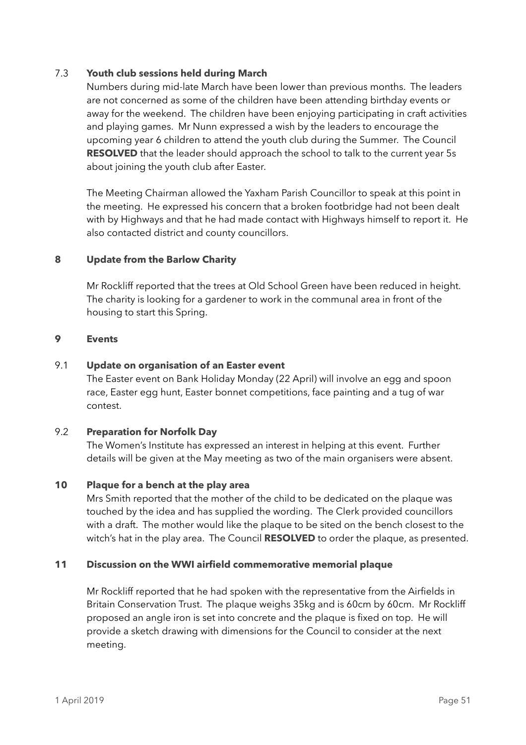#### 7.3 **Youth club sessions held during March**

Numbers during mid-late March have been lower than previous months. The leaders are not concerned as some of the children have been attending birthday events or away for the weekend. The children have been enjoying participating in craft activities and playing games. Mr Nunn expressed a wish by the leaders to encourage the upcoming year 6 children to attend the youth club during the Summer. The Council **RESOLVED** that the leader should approach the school to talk to the current year 5s about joining the youth club after Easter.

The Meeting Chairman allowed the Yaxham Parish Councillor to speak at this point in the meeting. He expressed his concern that a broken footbridge had not been dealt with by Highways and that he had made contact with Highways himself to report it. He also contacted district and county councillors.

## **8 Update from the Barlow Charity**

Mr Rockliff reported that the trees at Old School Green have been reduced in height. The charity is looking for a gardener to work in the communal area in front of the housing to start this Spring.

#### **9 Events**

#### 9.1 **Update on organisation of an Easter event**

The Easter event on Bank Holiday Monday (22 April) will involve an egg and spoon race, Easter egg hunt, Easter bonnet competitions, face painting and a tug of war contest.

#### 9.2 **Preparation for Norfolk Day**

The Women's Institute has expressed an interest in helping at this event. Further details will be given at the May meeting as two of the main organisers were absent.

#### **10 Plaque for a bench at the play area**

Mrs Smith reported that the mother of the child to be dedicated on the plaque was touched by the idea and has supplied the wording. The Clerk provided councillors with a draft. The mother would like the plaque to be sited on the bench closest to the witch's hat in the play area. The Council **RESOLVED** to order the plaque, as presented.

#### **11 Discussion on the WWI airfield commemorative memorial plaque**

Mr Rockliff reported that he had spoken with the representative from the Airfields in Britain Conservation Trust. The plaque weighs 35kg and is 60cm by 60cm. Mr Rockliff proposed an angle iron is set into concrete and the plaque is fixed on top. He will provide a sketch drawing with dimensions for the Council to consider at the next meeting.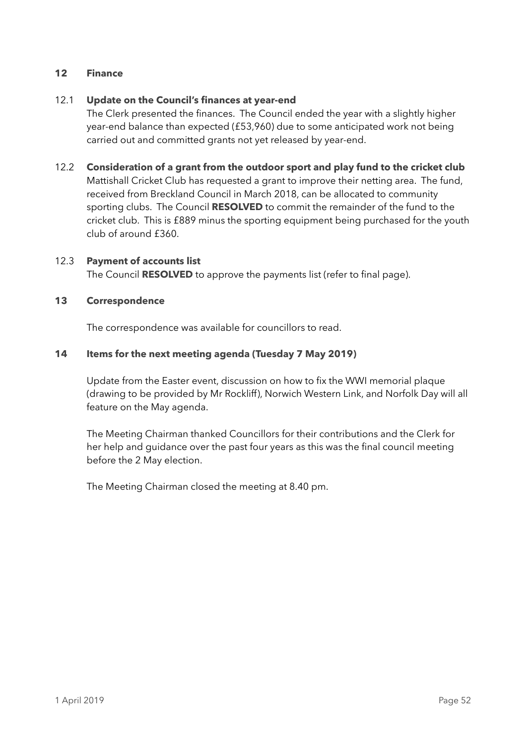## **12 Finance**

## 12.1 **Update on the Council's finances at year-end**

The Clerk presented the finances. The Council ended the year with a slightly higher year-end balance than expected (£53,960) due to some anticipated work not being carried out and committed grants not yet released by year-end.

## 12.2 **Consideration of a grant from the outdoor sport and play fund to the cricket club**

Mattishall Cricket Club has requested a grant to improve their netting area. The fund, received from Breckland Council in March 2018, can be allocated to community sporting clubs. The Council **RESOLVED** to commit the remainder of the fund to the cricket club. This is £889 minus the sporting equipment being purchased for the youth club of around £360.

## 12.3 **Payment of accounts list**

The Council **RESOLVED** to approve the payments list (refer to final page).

# **13 Correspondence**

The correspondence was available for councillors to read.

# **14 Items for the next meeting agenda (Tuesday 7 May 2019)**

Update from the Easter event, discussion on how to fix the WWI memorial plaque (drawing to be provided by Mr Rockliff), Norwich Western Link, and Norfolk Day will all feature on the May agenda.

The Meeting Chairman thanked Councillors for their contributions and the Clerk for her help and guidance over the past four years as this was the final council meeting before the 2 May election.

The Meeting Chairman closed the meeting at 8.40 pm.